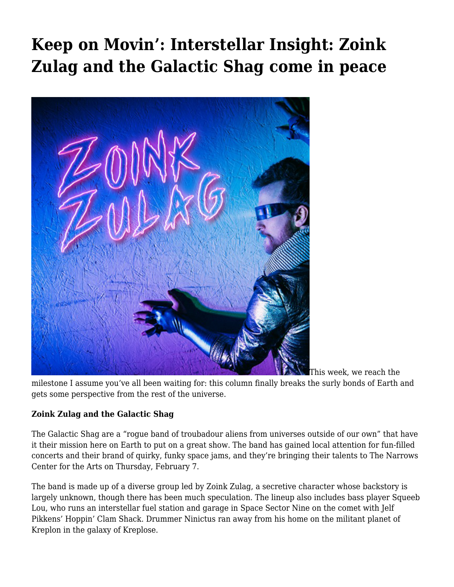# **[Keep on Movin': Interstellar Insight: Zoink](https://motifri.com/komfebi19/) [Zulag and the Galactic Shag come in peace](https://motifri.com/komfebi19/)**



[T](http://www.motifri.com/wp-content/uploads/2019/02/Zoink.png)his week, we reach the

milestone I assume you've all been waiting for: this column finally breaks the surly bonds of Earth and gets some perspective from the rest of the universe.

## **Zoink Zulag and the Galactic Shag**

The Galactic Shag are a "rogue band of troubadour aliens from universes outside of our own" that have it their mission here on Earth to put on a great show. The band has gained local attention for fun-filled concerts and their brand of quirky, funky space jams, and they're bringing their talents to The Narrows Center for the Arts on Thursday, February 7.

The band is made up of a diverse group led by Zoink Zulag, a secretive character whose backstory is largely unknown, though there has been much speculation. The lineup also includes bass player Squeeb Lou, who runs an interstellar fuel station and garage in Space Sector Nine on the comet with Jelf Pikkens' Hoppin' Clam Shack. Drummer Ninictus ran away from his home on the militant planet of Kreplon in the galaxy of Kreplose.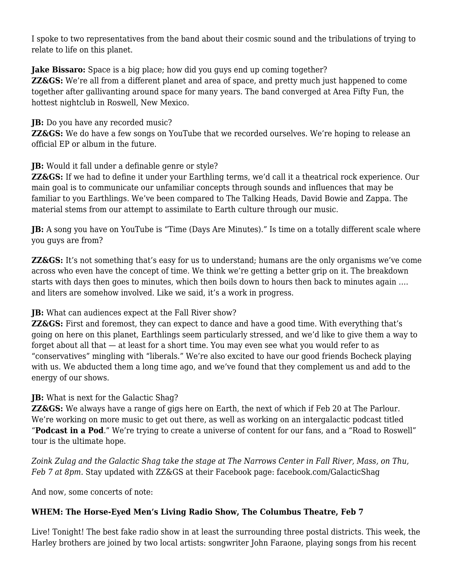I spoke to two representatives from the band about their cosmic sound and the tribulations of trying to relate to life on this planet.

#### **Jake Bissaro:** Space is a big place; how did you guys end up coming together? **ZZ&GS:** We're all from a different planet and area of space, and pretty much just happened to come together after gallivanting around space for many years. The band converged at Area Fifty Fun, the

## **JB:** Do you have any recorded music?

hottest nightclub in Roswell, New Mexico.

**ZZ&GS:** We do have a few songs on YouTube that we recorded ourselves. We're hoping to release an official EP or album in the future.

## **JB:** Would it fall under a definable genre or style?

**ZZ&GS:** If we had to define it under your Earthling terms, we'd call it a theatrical rock experience. Our main goal is to communicate our unfamiliar concepts through sounds and influences that may be familiar to you Earthlings. We've been compared to The Talking Heads, David Bowie and Zappa. The material stems from our attempt to assimilate to Earth culture through our music.

**JB:** A song you have on YouTube is "Time (Days Are Minutes)." Is time on a totally different scale where you guys are from?

**ZZ&GS:** It's not something that's easy for us to understand; humans are the only organisms we've come across who even have the concept of time. We think we're getting a better grip on it. The breakdown starts with days then goes to minutes, which then boils down to hours then back to minutes again …. and liters are somehow involved. Like we said, it's a work in progress.

## **JB:** What can audiences expect at the Fall River show?

**ZZ&GS:** First and foremost, they can expect to dance and have a good time. With everything that's going on here on this planet, Earthlings seem particularly stressed, and we'd like to give them a way to forget about all that — at least for a short time. You may even see what you would refer to as "conservatives" mingling with "liberals." We're also excited to have our good friends Bocheck playing with us. We abducted them a long time ago, and we've found that they complement us and add to the energy of our shows.

## **JB:** What is next for the Galactic Shag?

**ZZ&GS:** We always have a range of gigs here on Earth, the next of which if Feb 20 at The Parlour. We're working on more music to get out there, as well as working on an intergalactic podcast titled "**Podcast in a Pod**." We're trying to create a universe of content for our fans, and a "Road to Roswell" tour is the ultimate hope.

*Zoink Zulag and the Galactic Shag take the stage at The Narrows Center in Fall River, Mass, on Thu, Feb 7 at 8pm.* Stay updated with ZZ&GS at their Facebook page: [facebook.com/GalacticShag](https://www.facebook.com/GalacticShag/)

And now, some concerts of note:

## **WHEM: The Horse-Eyed Men's Living Radio Show, The Columbus Theatre, Feb 7**

Live! Tonight! The best fake radio show in at least the surrounding three postal districts. This week, the Harley brothers are joined by two local artists: songwriter John Faraone, playing songs from his recent